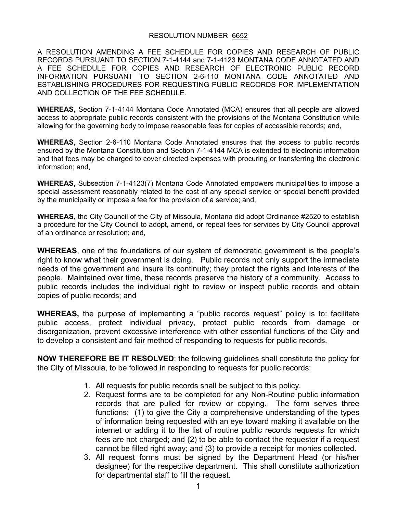#### RESOLUTION NUMBER 6652

A RESOLUTION AMENDING A FEE SCHEDULE FOR COPIES AND RESEARCH OF PUBLIC RECORDS PURSUANT TO SECTION 7-1-4144 and 7-1-4123 MONTANA CODE ANNOTATED AND A FEE SCHEDULE FOR COPIES AND RESEARCH OF ELECTRONIC PUBLIC RECORD INFORMATION PURSUANT TO SECTION 2-6-110 MONTANA CODE ANNOTATED AND ESTABLISHING PROCEDURES FOR REQUESTING PUBLIC RECORDS FOR IMPLEMENTATION AND COLLECTION OF THE FEE SCHEDULE.

**WHEREAS**, Section 7-1-4144 Montana Code Annotated (MCA) ensures that all people are allowed access to appropriate public records consistent with the provisions of the Montana Constitution while allowing for the governing body to impose reasonable fees for copies of accessible records; and,

**WHEREAS**, Section 2-6-110 Montana Code Annotated ensures that the access to public records ensured by the Montana Constitution and Section 7-1-4144 MCA is extended to electronic information and that fees may be charged to cover directed expenses with procuring or transferring the electronic information; and,

**WHEREAS,** Subsection 7-1-4123(7) Montana Code Annotated empowers municipalities to impose a special assessment reasonably related to the cost of any special service or special benefit provided by the municipality or impose a fee for the provision of a service; and,

**WHEREAS**, the City Council of the City of Missoula, Montana did adopt Ordinance #2520 to establish a procedure for the City Council to adopt, amend, or repeal fees for services by City Council approval of an ordinance or resolution; and,

**WHEREAS**, one of the foundations of our system of democratic government is the people's right to know what their government is doing. Public records not only support the immediate needs of the government and insure its continuity; they protect the rights and interests of the people. Maintained over time, these records preserve the history of a community. Access to public records includes the individual right to review or inspect public records and obtain copies of public records; and

**WHEREAS,** the purpose of implementing a "public records request" policy is to: facilitate public access, protect individual privacy, protect public records from damage or disorganization, prevent excessive interference with other essential functions of the City and to develop a consistent and fair method of responding to requests for public records.

**NOW THEREFORE BE IT RESOLVED**; the following guidelines shall constitute the policy for the City of Missoula, to be followed in responding to requests for public records:

- 1. All requests for public records shall be subject to this policy.
- 2. Request forms are to be completed for any Non-Routine public information records that are pulled for review or copying. The form serves three functions: (1) to give the City a comprehensive understanding of the types of information being requested with an eye toward making it available on the internet or adding it to the list of routine public records requests for which fees are not charged; and (2) to be able to contact the requestor if a request cannot be filled right away; and (3) to provide a receipt for monies collected.
- 3. All request forms must be signed by the Department Head (or his/her designee) for the respective department. This shall constitute authorization for departmental staff to fill the request.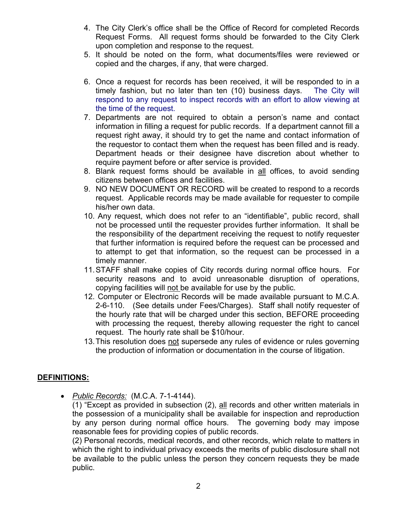- 4. The City Clerk's office shall be the Office of Record for completed Records Request Forms. All request forms should be forwarded to the City Clerk upon completion and response to the request.
- 5. It should be noted on the form, what documents/files were reviewed or copied and the charges, if any, that were charged.
- 6. Once a request for records has been received, it will be responded to in a timely fashion, but no later than ten (10) business days. The City will respond to any request to inspect records with an effort to allow viewing at the time of the request.
- 7. Departments are not required to obtain a person's name and contact information in filling a request for public records. If a department cannot fill a request right away, it should try to get the name and contact information of the requestor to contact them when the request has been filled and is ready. Department heads or their designee have discretion about whether to require payment before or after service is provided.
- 8. Blank request forms should be available in all offices, to avoid sending citizens between offices and facilities.
- 9. NO NEW DOCUMENT OR RECORD will be created to respond to a records request. Applicable records may be made available for requester to compile his/her own data.
- 10. Any request, which does not refer to an "identifiable", public record, shall not be processed until the requester provides further information. It shall be the responsibility of the department receiving the request to notify requester that further information is required before the request can be processed and to attempt to get that information, so the request can be processed in a timely manner.
- 11. STAFF shall make copies of City records during normal office hours. For security reasons and to avoid unreasonable disruption of operations, copying facilities will not be available for use by the public.
- 12. Computer or Electronic Records will be made available pursuant to M.C.A. 2-6-110. (See details under Fees/Charges). Staff shall notify requester of the hourly rate that will be charged under this section, BEFORE proceeding with processing the request, thereby allowing requester the right to cancel request. The hourly rate shall be \$10/hour.
- 13. This resolution does not supersede any rules of evidence or rules governing the production of information or documentation in the course of litigation.

# **DEFINITIONS:**

• *Public Records:* (M.C.A. 7-1-4144).

(1) "Except as provided in subsection (2), all records and other written materials in the possession of a municipality shall be available for inspection and reproduction by any person during normal office hours. The governing body may impose reasonable fees for providing copies of public records.

(2) Personal records, medical records, and other records, which relate to matters in which the right to individual privacy exceeds the merits of public disclosure shall not be available to the public unless the person they concern requests they be made public.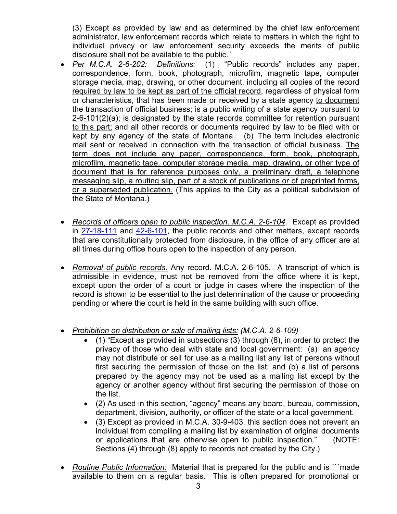(3) Except as provided by law and as determined by the chief law enforcement administrator, law enforcement records which relate to matters in which the right to individual privacy or law enforcement security exceeds the merits of public disclosure shall not be available to the public."

- *Per M.C.A. 2-6-202: Definitions:* (1) "Public records" includes any paper, correspondence, form, book, photograph, microfilm, magnetic tape, computer storage media, map, drawing, or other document, including all copies of the record required by law to be kept as part of the official record, regardless of physical form or characteristics, that has been made or received by a state agency to document the transaction of official business; is a public writing of a state agency pursuant to 2-6-101(2)(a); is designated by the state records committee for retention pursuant to this part; and all other records or documents required by law to be filed with or kept by any agency of the state of Montana. (b) The term includes electronic mail sent or received in connection with the transaction of official business. The term does not include any paper, correspondence, form, book, photograph, microfilm, magnetic tape, computer storage media, map, drawing, or other type of document that is for reference purposes only, a preliminary draft, a telephone messaging slip, a routing slip, part of a stock of publications or of preprinted forms, or a superseded publication. (This applies to the City as a political subdivision of the State of Montana.)
- *Records of officers open to public inspection. M.C.A. 2-6-104*. Except as provided in 27-18-111 and 42-6-101, the public records and other matters, except records that are constitutionally protected from disclosure, in the office of any officer are at all times during office hours open to the inspection of any person.
- *Removal of public records.* Any record. M.C.A. 2-6-105. A transcript of which is admissible in evidence, must not be removed from the office where it is kept, except upon the order of a court or judge in cases where the inspection of the record is shown to be essential to the just determination of the cause or proceeding pending or where the court is held in the same building with such office.
- *Prohibition on distribution or sale of mailing lists: (M.C.A. 2-6-109)* 
	- (1) "Except as provided in subsections (3) through (8), in order to protect the privacy of those who deal with state and local government: (a) an agency may not distribute or sell for use as a mailing list any list of persons without first securing the permission of those on the list; and (b) a list of persons prepared by the agency may not be used as a mailing list except by the agency or another agency without first securing the permission of those on the list.
	- (2) As used in this section, "agency" means any board, bureau, commission, department, division, authority, or officer of the state or a local government.
	- (3) Except as provided in M.C.A. 30-9-403, this section does not prevent an individual from compiling a mailing list by examination of original documents or applications that are otherwise open to public inspection." (NOTE: Sections (4) through (8) apply to records not created by the City.)
- *Routine Public Information:* Material that is prepared for the public and is ```made available to them on a regular basis. This is often prepared for promotional or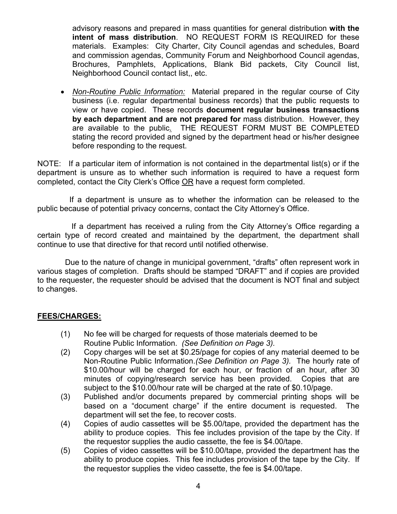advisory reasons and prepared in mass quantities for general distribution **with the intent of mass distribution**. NO REQUEST FORM IS REQUIRED for these materials. Examples: City Charter, City Council agendas and schedules, Board and commission agendas, Community Forum and Neighborhood Council agendas, Brochures, Pamphlets, Applications, Blank Bid packets, City Council list, Neighborhood Council contact list,, etc.

• *Non-Routine Public Information:* Material prepared in the regular course of City business (i.e. regular departmental business records) that the public requests to view or have copied. These records **document regular business transactions by each department and are not prepared for** mass distribution. However, they are available to the public. THE REQUEST FORM MUST BE COMPLETED stating the record provided and signed by the department head or his/her designee before responding to the request.

NOTE: If a particular item of information is not contained in the departmental list(s) or if the department is unsure as to whether such information is required to have a request form completed, contact the City Clerk's Office OR have a request form completed.

 If a department is unsure as to whether the information can be released to the public because of potential privacy concerns, contact the City Attorney's Office.

 If a department has received a ruling from the City Attorney's Office regarding a certain type of record created and maintained by the department, the department shall continue to use that directive for that record until notified otherwise.

 Due to the nature of change in municipal government, "drafts" often represent work in various stages of completion. Drafts should be stamped "DRAFT" and if copies are provided to the requester, the requester should be advised that the document is NOT final and subject to changes.

## **FEES/CHARGES:**

- (1) No fee will be charged for requests of those materials deemed to be Routine Public Information. *(See Definition on Page 3).*
- (2) Copy charges will be set at \$0.25/page for copies of any material deemed to be Non-Routine Public Information.*(See Definition on Page 3).* The hourly rate of \$10.00/hour will be charged for each hour, or fraction of an hour, after 30 minutes of copying/research service has been provided. Copies that are subject to the \$10.00/hour rate will be charged at the rate of \$0.10/page.
- (3) Published and/or documents prepared by commercial printing shops will be based on a "document charge" if the entire document is requested. The department will set the fee, to recover costs.
- (4) Copies of audio cassettes will be \$5.00/tape, provided the department has the ability to produce copies. This fee includes provision of the tape by the City. If the requestor supplies the audio cassette, the fee is \$4.00/tape.
- (5) Copies of video cassettes will be \$10.00/tape, provided the department has the ability to produce copies. This fee includes provision of the tape by the City. If the requestor supplies the video cassette, the fee is \$4.00/tape.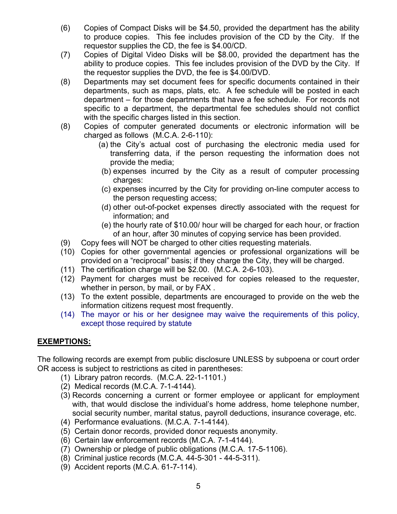- (6) Copies of Compact Disks will be \$4.50, provided the department has the ability to produce copies. This fee includes provision of the CD by the City. If the requestor supplies the CD, the fee is \$4.00/CD.
- (7) Copies of Digital Video Disks will be \$8.00, provided the department has the ability to produce copies. This fee includes provision of the DVD by the City. If the requestor supplies the DVD, the fee is \$4.00/DVD.
- (8) Departments may set document fees for specific documents contained in their departments, such as maps, plats, etc. A fee schedule will be posted in each department – for those departments that have a fee schedule. For records not specific to a department, the departmental fee schedules should not conflict with the specific charges listed in this section.
- (8) Copies of computer generated documents or electronic information will be charged as follows (M.C.A. 2-6-110):
	- (a) the City's actual cost of purchasing the electronic media used for transferring data, if the person requesting the information does not provide the media;
	- (b) expenses incurred by the City as a result of computer processing charges:
	- (c) expenses incurred by the City for providing on-line computer access to the person requesting access;
	- (d) other out-of-pocket expenses directly associated with the request for information; and
	- (e) the hourly rate of \$10.00/ hour will be charged for each hour, or fraction of an hour, after 30 minutes of copying service has been provided.
- (9) Copy fees will NOT be charged to other cities requesting materials.
- (10) Copies for other governmental agencies or professional organizations will be provided on a "reciprocal" basis; if they charge the City, they will be charged.
- (11) The certification charge will be \$2.00. (M.C.A. 2-6-103).
- (12) Payment for charges must be received for copies released to the requester, whether in person, by mail, or by FAX .
- (13) To the extent possible, departments are encouraged to provide on the web the information citizens request most frequently.
- (14) The mayor or his or her designee may waive the requirements of this policy, except those required by statute

# **EXEMPTIONS:**

The following records are exempt from public disclosure UNLESS by subpoena or court order OR access is subject to restrictions as cited in parentheses:

- (1) Library patron records. (M.C.A. 22-1-1101.)
- (2) Medical records (M.C.A. 7-1-4144).
- (3) Records concerning a current or former employee or applicant for employment with, that would disclose the individual's home address, home telephone number, social security number, marital status, payroll deductions, insurance coverage, etc.
- (4) Performance evaluations. (M.C.A. 7-1-4144).
- (5) Certain donor records, provided donor requests anonymity.
- (6) Certain law enforcement records (M.C.A. 7-1-4144).
- (7) Ownership or pledge of public obligations (M.C.A. 17-5-1106).
- (8) Criminal justice records (M.C.A. 44-5-301 44-5-311).
- (9) Accident reports (M.C.A. 61-7-114).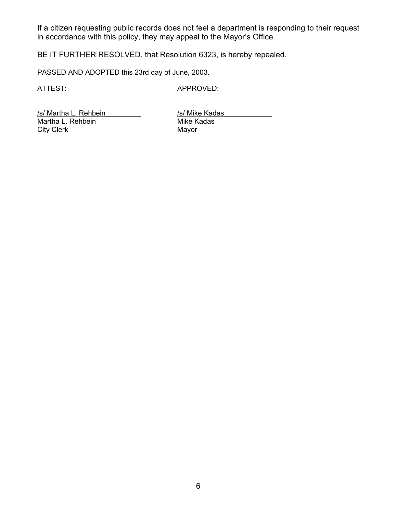If a citizen requesting public records does not feel a department is responding to their request in accordance with this policy, they may appeal to the Mayor's Office.

BE IT FURTHER RESOLVED, that Resolution 6323, is hereby repealed.

PASSED AND ADOPTED this 23rd day of June, 2003.

ATTEST: APPROVED:

/s/ Martha L. Rehbein //s/ Mike Kadas<br>Martha L. Rehbein // Mike Kadas Martha L. Rehbein Mike Kadas Mike Kadas Mike Kadas Mike Kadas Mike Kadas Mayor City Clerk